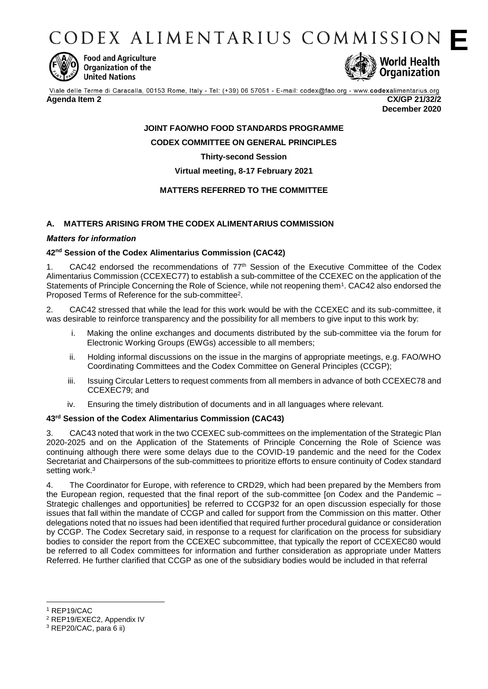CODEX ALIMENTARIUS COMMISSION



**Food and Agriculture** Organization of the **United Nations** 



Viale delle Terme di Caracalla, 00153 Rome, Italy - Tel: (+39) 06 57051 - E-mail: codex@fao.org - www.codexalimentarius.org

#### **Agenda Item 2 CX/GP 21/32/2**

**December 2020**

## **JOINT FAO/WHO FOOD STANDARDS PROGRAMME CODEX COMMITTEE ON GENERAL PRINCIPLES**

## **Thirty-second Session**

**Virtual meeting, 8-17 February 2021**

## **MATTERS REFERRED TO THE COMMITTEE**

## **A. MATTERS ARISING FROM THE CODEX ALIMENTARIUS COMMISSION**

### *Matters for information*

### **42nd Session of the Codex Alimentarius Commission (CAC42)**

1. CAC42 endorsed the recommendations of 77<sup>th</sup> Session of the Executive Committee of the Codex Alimentarius Commission (CCEXEC77) to establish a sub-committee of the CCEXEC on the application of the Statements of Principle Concerning the Role of Science, while not reopening them<sup>1</sup>. CAC42 also endorsed the Proposed Terms of Reference for the sub-committee<sup>2</sup>.

2. CAC42 stressed that while the lead for this work would be with the CCEXEC and its sub-committee, it was desirable to reinforce transparency and the possibility for all members to give input to this work by:

- i. Making the online exchanges and documents distributed by the sub-committee via the forum for Electronic Working Groups (EWGs) accessible to all members;
- ii. Holding informal discussions on the issue in the margins of appropriate meetings, e.g. FAO/WHO Coordinating Committees and the Codex Committee on General Principles (CCGP);
- iii. Issuing Circular Letters to request comments from all members in advance of both CCEXEC78 and CCEXEC79; and
- iv. Ensuring the timely distribution of documents and in all languages where relevant.

## **43rd Session of the Codex Alimentarius Commission (CAC43)**

3. CAC43 noted that work in the two CCEXEC sub-committees on the implementation of the Strategic Plan 2020-2025 and on the Application of the Statements of Principle Concerning the Role of Science was continuing although there were some delays due to the COVID-19 pandemic and the need for the Codex Secretariat and Chairpersons of the sub-committees to prioritize efforts to ensure continuity of Codex standard setting work.<sup>3</sup>

4. The Coordinator for Europe, with reference to CRD29, which had been prepared by the Members from the European region, requested that the final report of the sub-committee [on Codex and the Pandemic – Strategic challenges and opportunities] be referred to CCGP32 for an open discussion especially for those issues that fall within the mandate of CCGP and called for support from the Commission on this matter. Other delegations noted that no issues had been identified that required further procedural guidance or consideration by CCGP. The Codex Secretary said, in response to a request for clarification on the process for subsidiary bodies to consider the report from the CCEXEC subcommittee, that typically the report of CCEXEC80 would be referred to all Codex committees for information and further consideration as appropriate under Matters Referred. He further clarified that CCGP as one of the subsidiary bodies would be included in that referral

<sup>1</sup> REP19/CAC

<sup>2</sup> REP19/EXEC2, Appendix IV

<sup>3</sup> REP20/CAC, para 6 ii)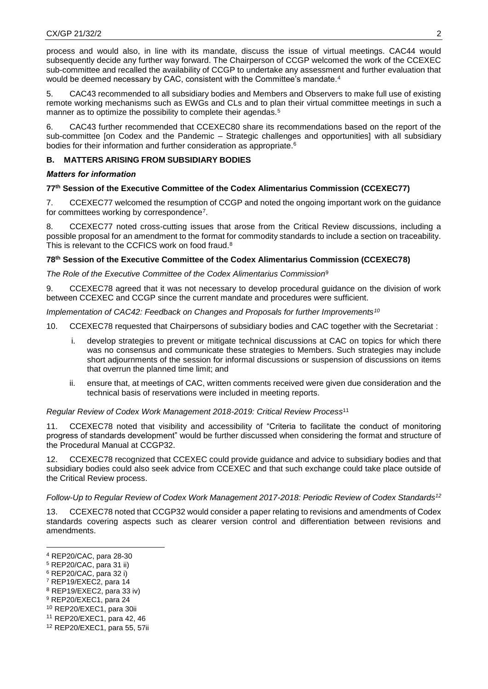process and would also, in line with its mandate, discuss the issue of virtual meetings. CAC44 would subsequently decide any further way forward. The Chairperson of CCGP welcomed the work of the CCEXEC sub-committee and recalled the availability of CCGP to undertake any assessment and further evaluation that would be deemed necessary by CAC, consistent with the Committee's mandate.<sup>4</sup>

5. CAC43 recommended to all subsidiary bodies and Members and Observers to make full use of existing remote working mechanisms such as EWGs and CLs and to plan their virtual committee meetings in such a manner as to optimize the possibility to complete their agendas.<sup>5</sup>

6. CAC43 further recommended that CCEXEC80 share its recommendations based on the report of the sub-committee [on Codex and the Pandemic – Strategic challenges and opportunities] with all subsidiary bodies for their information and further consideration as appropriate.<sup>6</sup>

# **B. MATTERS ARISING FROM SUBSIDIARY BODIES**

# *Matters for information*

# **77th Session of the Executive Committee of the Codex Alimentarius Commission (CCEXEC77)**

7. CCEXEC77 welcomed the resumption of CCGP and noted the ongoing important work on the guidance for committees working by correspondence<sup>7</sup> .

8. CCEXEC77 noted cross-cutting issues that arose from the Critical Review discussions, including a possible proposal for an amendment to the format for commodity standards to include a section on traceability. This is relevant to the CCFICS work on food fraud.<sup>8</sup>

# **78 th Session of the Executive Committee of the Codex Alimentarius Commission (CCEXEC78)**

*The Role of the Executive Committee of the Codex Alimentarius Commission*<sup>9</sup>

9. CCEXEC78 agreed that it was not necessary to develop procedural guidance on the division of work between CCEXEC and CCGP since the current mandate and procedures were sufficient.

*Implementation of CAC42: Feedback on Changes and Proposals for further Improvements<sup>10</sup>*

- 10. CCEXEC78 requested that Chairpersons of subsidiary bodies and CAC together with the Secretariat :
	- i. develop strategies to prevent or mitigate technical discussions at CAC on topics for which there was no consensus and communicate these strategies to Members. Such strategies may include short adjournments of the session for informal discussions or suspension of discussions on items that overrun the planned time limit; and
	- ii. ensure that, at meetings of CAC, written comments received were given due consideration and the technical basis of reservations were included in meeting reports.

# *Regular Review of Codex Work Management 2018-2019: Critical Review Process*<sup>11</sup>

11. CCEXEC78 noted that visibility and accessibility of "Criteria to facilitate the conduct of monitoring progress of standards development" would be further discussed when considering the format and structure of the Procedural Manual at CCGP32.

12. CCEXEC78 recognized that CCEXEC could provide guidance and advice to subsidiary bodies and that subsidiary bodies could also seek advice from CCEXEC and that such exchange could take place outside of the Critical Review process.

# *Follow-Up to Regular Review of Codex Work Management 2017-2018: Periodic Review of Codex Standards<sup>12</sup>*

13. CCEXEC78 noted that CCGP32 would consider a paper relating to revisions and amendments of Codex standards covering aspects such as clearer version control and differentiation between revisions and amendments.

- <sup>6</sup> REP20/CAC, para 32 i)
- <sup>7</sup> REP19/EXEC2, para 14
- <sup>8</sup> REP19/EXEC2, para 33 iv)
- <sup>9</sup> REP20/EXEC1, para 24
- <sup>10</sup> REP20/EXEC1, para 30ii
- <sup>11</sup> REP20/EXEC1, para 42, 46
- <sup>12</sup> REP20/EXEC1, para 55, 57ii

<sup>-</sup><sup>4</sup> REP20/CAC, para 28-30

<sup>5</sup> REP20/CAC, para 31 ii)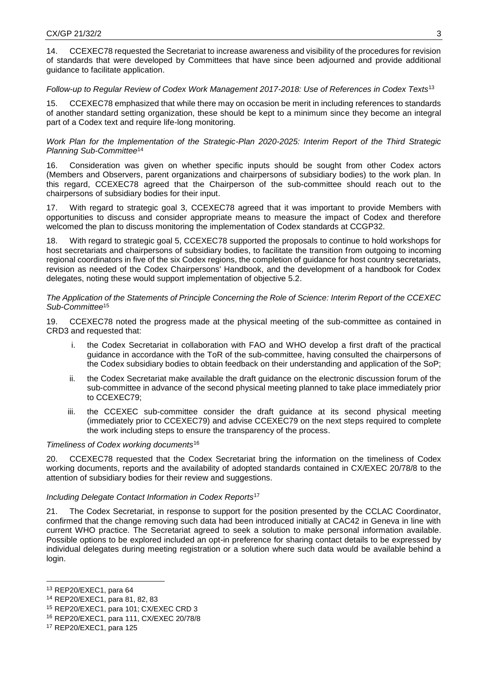14. CCEXEC78 requested the Secretariat to increase awareness and visibility of the procedures for revision of standards that were developed by Committees that have since been adjourned and provide additional guidance to facilitate application.

### *Follow-up to Regular Review of Codex Work Management 2017-2018: Use of References in Codex Texts*<sup>13</sup>

CCEXEC78 emphasized that while there may on occasion be merit in including references to standards of another standard setting organization, these should be kept to a minimum since they become an integral part of a Codex text and require life-long monitoring.

*Work Plan for the Implementation of the Strategic-Plan 2020-2025: Interim Report of the Third Strategic Planning Sub-Committee*<sup>14</sup>

16. Consideration was given on whether specific inputs should be sought from other Codex actors (Members and Observers, parent organizations and chairpersons of subsidiary bodies) to the work plan. In this regard, CCEXEC78 agreed that the Chairperson of the sub-committee should reach out to the chairpersons of subsidiary bodies for their input.

17. With regard to strategic goal 3, CCEXEC78 agreed that it was important to provide Members with opportunities to discuss and consider appropriate means to measure the impact of Codex and therefore welcomed the plan to discuss monitoring the implementation of Codex standards at CCGP32.

18. With regard to strategic goal 5, CCEXEC78 supported the proposals to continue to hold workshops for host secretariats and chairpersons of subsidiary bodies, to facilitate the transition from outgoing to incoming regional coordinators in five of the six Codex regions, the completion of guidance for host country secretariats, revision as needed of the Codex Chairpersons' Handbook, and the development of a handbook for Codex delegates, noting these would support implementation of objective 5.2.

#### *The Application of the Statements of Principle Concerning the Role of Science: Interim Report of the CCEXEC Sub-Committee*<sup>15</sup>

19. CCEXEC78 noted the progress made at the physical meeting of the sub-committee as contained in CRD3 and requested that:

- i. the Codex Secretariat in collaboration with FAO and WHO develop a first draft of the practical guidance in accordance with the ToR of the sub-committee, having consulted the chairpersons of the Codex subsidiary bodies to obtain feedback on their understanding and application of the SoP;
- ii. the Codex Secretariat make available the draft guidance on the electronic discussion forum of the sub-committee in advance of the second physical meeting planned to take place immediately prior to CCEXEC79;
- iii. the CCEXEC sub-committee consider the draft guidance at its second physical meeting (immediately prior to CCEXEC79) and advise CCEXEC79 on the next steps required to complete the work including steps to ensure the transparency of the process.

#### *Timeliness of Codex working documents*<sup>16</sup>

20. CCEXEC78 requested that the Codex Secretariat bring the information on the timeliness of Codex working documents, reports and the availability of adopted standards contained in CX/EXEC 20/78/8 to the attention of subsidiary bodies for their review and suggestions.

### *Including Delegate Contact Information in Codex Reports*<sup>17</sup>

21. The Codex Secretariat, in response to support for the position presented by the CCLAC Coordinator, confirmed that the change removing such data had been introduced initially at CAC42 in Geneva in line with current WHO practice. The Secretariat agreed to seek a solution to make personal information available. Possible options to be explored included an opt-in preference for sharing contact details to be expressed by individual delegates during meeting registration or a solution where such data would be available behind a login.

<sup>13</sup> REP20/EXEC1, para 64

<sup>14</sup> REP20/EXEC1, para 81, 82, 83

<sup>15</sup> REP20/EXEC1, para 101; CX/EXEC CRD 3

<sup>16</sup> REP20/EXEC1, para 111, CX/EXEC 20/78/8

<sup>17</sup> REP20/EXEC1, para 125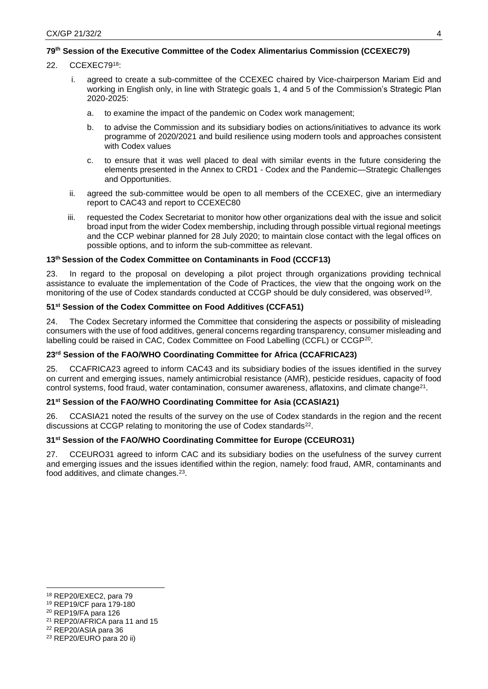## **79th Session of the Executive Committee of the Codex Alimentarius Commission (CCEXEC79)**

- 22. CCEXEC79<sup>18</sup>:
	- i. agreed to create a sub-committee of the CCEXEC chaired by Vice-chairperson Mariam Eid and working in English only, in line with Strategic goals 1, 4 and 5 of the Commission's Strategic Plan 2020-2025:
		- a. to examine the impact of the pandemic on Codex work management;
		- b. to advise the Commission and its subsidiary bodies on actions/initiatives to advance its work programme of 2020/2021 and build resilience using modern tools and approaches consistent with Codex values
		- c. to ensure that it was well placed to deal with similar events in the future considering the elements presented in the Annex to CRD1 - Codex and the Pandemic—Strategic Challenges and Opportunities.
	- ii. agreed the sub-committee would be open to all members of the CCEXEC, give an intermediary report to CAC43 and report to CCEXEC80
	- iii. requested the Codex Secretariat to monitor how other organizations deal with the issue and solicit broad input from the wider Codex membership, including through possible virtual regional meetings and the CCP webinar planned for 28 July 2020; to maintain close contact with the legal offices on possible options, and to inform the sub-committee as relevant.

### **13th Session of the Codex Committee on Contaminants in Food (CCCF13)**

23. In regard to the proposal on developing a pilot project through organizations providing technical assistance to evaluate the implementation of the Code of Practices, the view that the ongoing work on the monitoring of the use of Codex standards conducted at CCGP should be duly considered, was observed<sup>19</sup>.

### **51st Session of the Codex Committee on Food Additives (CCFA51)**

24. The Codex Secretary informed the Committee that considering the aspects or possibility of misleading consumers with the use of food additives, general concerns regarding transparency, consumer misleading and labelling could be raised in CAC, Codex Committee on Food Labelling (CCFL) or CCGP<sup>20</sup>.

### **23rd Session of the FAO/WHO Coordinating Committee for Africa (CCAFRICA23)**

25. CCAFRICA23 agreed to inform CAC43 and its subsidiary bodies of the issues identified in the survey on current and emerging issues, namely antimicrobial resistance (AMR), pesticide residues, capacity of food control systems, food fraud, water contamination, consumer awareness, aflatoxins, and climate change<sup>21</sup> .

#### **21st Session of the FAO/WHO Coordinating Committee for Asia (CCASIA21)**

26. CCASIA21 noted the results of the survey on the use of Codex standards in the region and the recent discussions at CCGP relating to monitoring the use of Codex standards<sup>22</sup>.

### **31 st Session of the FAO/WHO Coordinating Committee for Europe (CCEURO31)**

27. CCEURO31 agreed to inform CAC and its subsidiary bodies on the usefulness of the survey current and emerging issues and the issues identified within the region, namely: food fraud, AMR, contaminants and food additives, and climate changes.<sup>23</sup>.

<sup>18</sup> REP20/EXEC2, para 79

<sup>19</sup> REP19/CF para 179-180

<sup>20</sup> REP19/FA para 126

<sup>21</sup> REP20/AFRICA para 11 and 15

<sup>22</sup> REP20/ASIA para 36

<sup>23</sup> REP20/EURO para 20 ii)